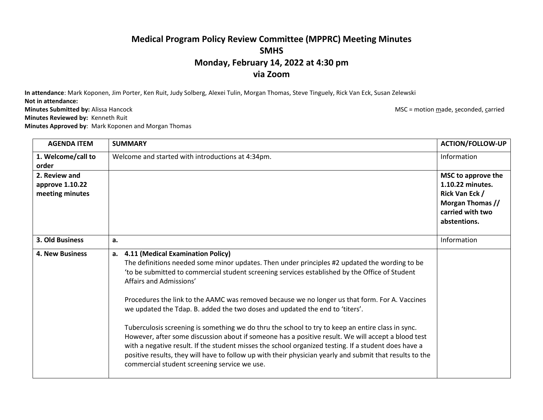## **Medical Program Policy Review Committee (MPPRC) Meeting Minutes SMHS Monday, February 14, 2022 at 4:30 pm via Zoom**

**In attendance**: Mark Koponen, Jim Porter, Ken Ruit, Judy Solberg, Alexei Tulin, Morgan Thomas, Steve Tinguely, Rick Van Eck, Susan Zelewski **Not in attendance:**

**Minutes Submitted by:** Alissa Hancock **MSC = motion made, seconded, carried** MSC = motion made, seconded, carried

**Minutes Reviewed by:** Kenneth Ruit

**Minutes Approved by**: Mark Koponen and Morgan Thomas

**AGENDA ITEM SUMMARY ACTION/FOLLOW-UP 1. Welcome/call to order**  Welcome and started with introductions at 4:34pm. Information **2. Review and approve 1.10.22 meeting minutes MSC to approve the 1.10.22 minutes. Rick Van Eck / Morgan Thomas // carried with two abstentions. 3. Old Business a.** Information **4. New Business a. 4.11 (Medical Examination Policy)** The definitions needed some minor updates. Then under principles #2 updated the wording to be 'to be submitted to commercial student screening services established by the Office of Student Affairs and Admissions' Procedures the link to the AAMC was removed because we no longer us that form. For A. Vaccines we updated the Tdap. B. added the two doses and updated the end to 'titers'. Tuberculosis screening is something we do thru the school to try to keep an entire class in sync. However, after some discussion about if someone has a positive result. We will accept a blood test with a negative result. If the student misses the school organized testing. If a student does have a positive results, they will have to follow up with their physician yearly and submit that results to the commercial student screening service we use.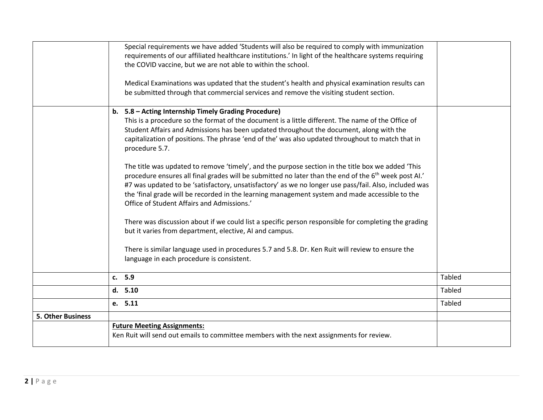|                   | Special requirements we have added 'Students will also be required to comply with immunization<br>requirements of our affiliated healthcare institutions.' In light of the healthcare systems requiring<br>the COVID vaccine, but we are not able to within the school.<br>Medical Examinations was updated that the student's health and physical examination results can<br>be submitted through that commercial services and remove the visiting student section.                                                                                                                                                                                                                                                                                                                                                                                                                                                                                                                                                                                                                                                                                                               |               |
|-------------------|------------------------------------------------------------------------------------------------------------------------------------------------------------------------------------------------------------------------------------------------------------------------------------------------------------------------------------------------------------------------------------------------------------------------------------------------------------------------------------------------------------------------------------------------------------------------------------------------------------------------------------------------------------------------------------------------------------------------------------------------------------------------------------------------------------------------------------------------------------------------------------------------------------------------------------------------------------------------------------------------------------------------------------------------------------------------------------------------------------------------------------------------------------------------------------|---------------|
|                   |                                                                                                                                                                                                                                                                                                                                                                                                                                                                                                                                                                                                                                                                                                                                                                                                                                                                                                                                                                                                                                                                                                                                                                                    |               |
|                   | b. 5.8 - Acting Internship Timely Grading Procedure)<br>This is a procedure so the format of the document is a little different. The name of the Office of<br>Student Affairs and Admissions has been updated throughout the document, along with the<br>capitalization of positions. The phrase 'end of the' was also updated throughout to match that in<br>procedure 5.7.<br>The title was updated to remove 'timely', and the purpose section in the title box we added 'This<br>procedure ensures all final grades will be submitted no later than the end of the 6 <sup>th</sup> week post AI.'<br>#7 was updated to be 'satisfactory, unsatisfactory' as we no longer use pass/fail. Also, included was<br>the 'final grade will be recorded in the learning management system and made accessible to the<br>Office of Student Affairs and Admissions.'<br>There was discussion about if we could list a specific person responsible for completing the grading<br>but it varies from department, elective, AI and campus.<br>There is similar language used in procedures 5.7 and 5.8. Dr. Ken Ruit will review to ensure the<br>language in each procedure is consistent. |               |
|                   | c. 5.9                                                                                                                                                                                                                                                                                                                                                                                                                                                                                                                                                                                                                                                                                                                                                                                                                                                                                                                                                                                                                                                                                                                                                                             | <b>Tabled</b> |
|                   | d. 5.10                                                                                                                                                                                                                                                                                                                                                                                                                                                                                                                                                                                                                                                                                                                                                                                                                                                                                                                                                                                                                                                                                                                                                                            | <b>Tabled</b> |
|                   | e. 5.11                                                                                                                                                                                                                                                                                                                                                                                                                                                                                                                                                                                                                                                                                                                                                                                                                                                                                                                                                                                                                                                                                                                                                                            | <b>Tabled</b> |
| 5. Other Business |                                                                                                                                                                                                                                                                                                                                                                                                                                                                                                                                                                                                                                                                                                                                                                                                                                                                                                                                                                                                                                                                                                                                                                                    |               |
|                   | <b>Future Meeting Assignments:</b><br>Ken Ruit will send out emails to committee members with the next assignments for review.                                                                                                                                                                                                                                                                                                                                                                                                                                                                                                                                                                                                                                                                                                                                                                                                                                                                                                                                                                                                                                                     |               |